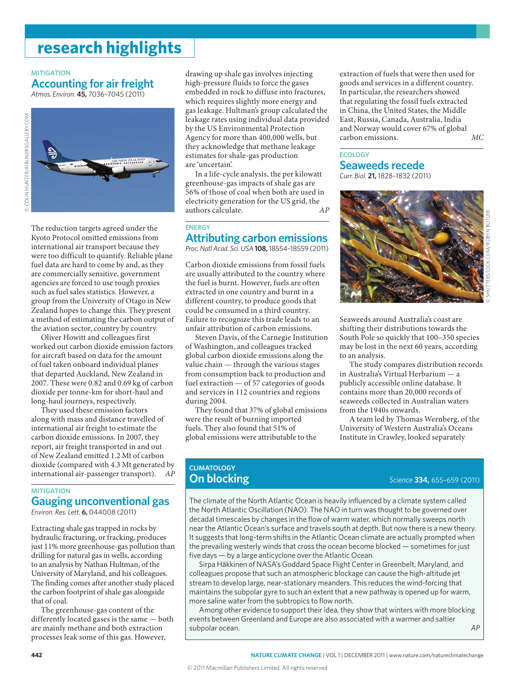# **research highlights**

#### **MITIGATION**

## **Accounting for air freight**

*Atmos. Environ.* **45,** 7036–7045 (2011)





The reduction targets agreed under the Kyoto Protocol omitted emissions from international air transport because they were too difficult to quantify. Reliable plane fuel data are hard to come by and, as they are commercially sensitive, government agencies are forced to use rough proxies such as fuel sales statistics. However, a group from the University of Otago in New Zealand hopes to change this. They present a method of estimating the carbon output of the aviation sector, country by country.

Oliver Howitt and colleagues first worked out carbon dioxide emission factors for aircraft based on data for the amount of fuel taken onboard individual planes that departed Auckland, New Zealand in 2007. These were 0.82 and 0.69 kg of carbon dioxide per tonne-km for short-haul and long-haul journeys, respectively.

They used these emission factors along with mass and distance travelled of international air freight to estimate the carbon dioxide emissions. In 2007, they report, air freight transported in and out of New Zealand emitted 1.2 Mt of carbon dioxide (compared with 4.3 Mt generated by international air-passenger transport). *AP*

## **MITIGATION Gauging unconventional gas**

*Environ. Res. Lett.* **6,** 044008 (2011)

Extracting shale gas trapped in rocks by hydraulic fracturing, or fracking, produces just 11% more greenhouse-gas pollution than drilling for natural gas in wells, according to an analysis by Nathan Hultman, of the University of Maryland, and his colleagues. The finding comes after another study placed the carbon footprint of shale gas alongside that of coal.

The greenhouse-gas content of the differently located gases is the same — both are mainly methane and both extraction processes leak some of this gas. However,

drawing up shale gas involves injecting high-pressure fluids to force the gases embedded in rock to diffuse into fractures, which requires slightly more energy and gas leakage. Hultman's group calculated the leakage rates using individual data provided by the US Environmental Protection Agency for more than 400,000 wells, but they acknowledge that methane leakage estimates for shale-gas production are 'uncertain'.

In a life-cycle analysis, the per kilowatt greenhouse-gas impacts of shale gas are 56% of those of coal when both are used in electricity generation for the US grid, the authors calculate.  $AP$ authors calculate.

#### **ENERGY Attributing carbon emissions**

*Proc. Natl Acad. Sci. USA***108,** 18554–18559 (2011)

Carbon dioxide emissions from fossil fuels are usually attributed to the country where the fuel is burnt. However, fuels are often extracted in one country and burnt in a different country, to produce goods that could be consumed in a third country. Failure to recognize this trade leads to an unfair attribution of carbon emissions.

Steven Davis, of the Carnegie Institution of Washington, and colleagues tracked global carbon dioxide emissions along the value chain — through the various stages from consumption back to production and fuel extraction — of 57 categories of goods and services in 112 countries and regions during 2004.

They found that 37% of global emissions were the result of burning imported fuels. They also found that 51% of global emissions were attributable to the

extraction of fuels that were then used for goods and services in a different country. In particular, the researchers showed that regulating the fossil fuels extracted in China, the United States, the Middle East, Russia, Canada, Australia, India and Norway would cover 67% of global carbon emissions. *MC*

## **ECOLOGY**

**Seaweeds recede** *Curr. Biol.* **21,** 1828–1832 (2011)



Seaweeds around Australia's coast are shifting their distributions towards the South Pole so quickly that 100–350 species may be lost in the next 60 years, according to an analysis.

The study compares distribution records in Australia's Virtual Herbarium — a publicly accessible online database. It contains more than 20,000 records of seaweeds collected in Australian waters from the 1940s onwards.

A team led by Thomas Wernberg, of the University of Western Australia's Oceans Institute in Crawley, looked separately

### **CLIMATOLOGY On blocking** *Science* **334,** 655–659 (2011)

The climate of the North Atlantic Ocean is heavily influenced by a climate system called the North Atlantic Oscillation (NAO). The NAO in turn was thought to be governed over decadal timescales by changes in the flow of warm water, which normally sweeps north near the Atlantic Ocean's surface and travels south at depth. But now there is a new theory. It suggests that long-term shifts in the Atlantic Ocean climate are actually prompted when the prevailing westerly winds that cross the ocean become blocked — sometimes for just five days — by a large anticyclone over the Atlantic Ocean.

Sirpa Häkkinen of NASA's Goddard Space Flight Center in Greenbelt, Maryland, and colleagues propose that such an atmospheric blockage can cause the high-altitude jet stream to develop large, near-stationary meanders. This reduces the wind-forcing that maintains the subpolar gyre to such an extent that a new pathway is opened up for warm, more saline water from the subtropics to flow north.

Among other evidence to support their idea, they show that winters with more blocking events between Greenland and Europe are also associated with a warmer and saltier subpolar ocean. *AP*